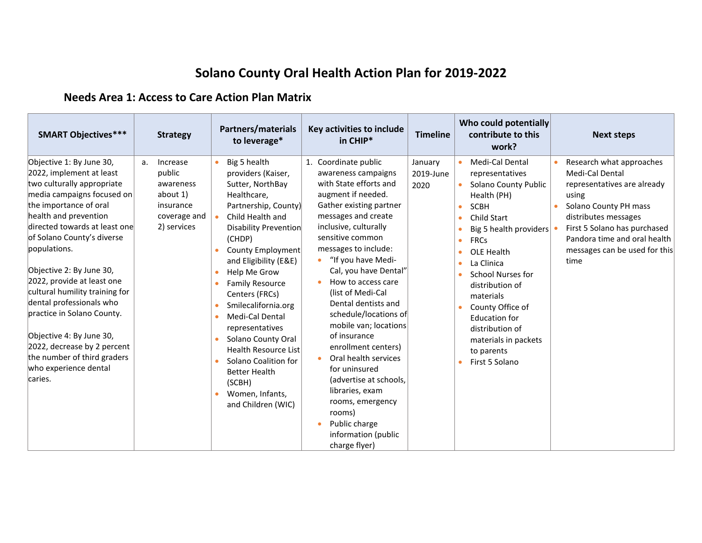## **Solano County Oral Health Action Plan for 2019-2022**

## **Needs Area 1: Access to Care Action Plan Matrix**

| <b>SMART Objectives***</b>                                                                                                                                                                                                                                                                                                                                                                                                                                                                                                             | <b>Strategy</b>                                                                               | <b>Partners/materials</b><br>to leverage*                                                                                                                                                                                                                                                                                                                                                                                                                                                             | Key activities to include<br>in CHIP*                                                                                                                                                                                                                                                                                                                                                                                                                                                                                                                                                                     | <b>Timeline</b>              | Who could potentially<br>contribute to this<br>work?                                                                                                                                                                                                                                                                                                                                                                          | <b>Next steps</b>                                                                                                                                                                                                                             |
|----------------------------------------------------------------------------------------------------------------------------------------------------------------------------------------------------------------------------------------------------------------------------------------------------------------------------------------------------------------------------------------------------------------------------------------------------------------------------------------------------------------------------------------|-----------------------------------------------------------------------------------------------|-------------------------------------------------------------------------------------------------------------------------------------------------------------------------------------------------------------------------------------------------------------------------------------------------------------------------------------------------------------------------------------------------------------------------------------------------------------------------------------------------------|-----------------------------------------------------------------------------------------------------------------------------------------------------------------------------------------------------------------------------------------------------------------------------------------------------------------------------------------------------------------------------------------------------------------------------------------------------------------------------------------------------------------------------------------------------------------------------------------------------------|------------------------------|-------------------------------------------------------------------------------------------------------------------------------------------------------------------------------------------------------------------------------------------------------------------------------------------------------------------------------------------------------------------------------------------------------------------------------|-----------------------------------------------------------------------------------------------------------------------------------------------------------------------------------------------------------------------------------------------|
| Objective 1: By June 30,<br>2022, implement at least<br>two culturally appropriate<br>media campaigns focused on<br>the importance of oral<br>health and prevention<br>directed towards at least one<br>of Solano County's diverse<br>populations.<br>Objective 2: By June 30,<br>2022, provide at least one<br>cultural humility training for<br>dental professionals who<br>practice in Solano County.<br>Objective 4: By June 30,<br>2022, decrease by 2 percent<br>the number of third graders<br>who experience dental<br>caries. | Increase<br>a.<br>public<br>awareness<br>about 1)<br>insurance<br>coverage and<br>2) services | Big 5 health<br>providers (Kaiser,<br>Sutter, NorthBay<br>Healthcare,<br>Partnership, County)<br>Child Health and<br>$\bullet$<br>Disability Prevention<br>(CHDP)<br>County Employment<br>and Eligibility (E&E)<br>Help Me Grow<br><b>Family Resource</b><br>Centers (FRCs)<br>Smilecalifornia.org<br>۰<br><b>Medi-Cal Dental</b><br>representatives<br>Solano County Oral<br>Health Resource List<br>Solano Coalition for<br><b>Better Health</b><br>(SCBH)<br>Women, Infants,<br>and Children (WIC) | 1. Coordinate public<br>awareness campaigns<br>with State efforts and<br>augment if needed.<br>Gather existing partner<br>messages and create<br>inclusive, culturally<br>sensitive common<br>messages to include:<br>"If you have Medi-<br>Cal, you have Dental"<br>How to access care<br>(list of Medi-Cal<br>Dental dentists and<br>schedule/locations of<br>mobile van; locations<br>of insurance<br>enrollment centers)<br>Oral health services<br>for uninsured<br>(advertise at schools,<br>libraries, exam<br>rooms, emergency<br>rooms)<br>Public charge<br>information (public<br>charge flyer) | January<br>2019-June<br>2020 | Medi-Cal Dental<br>$\bullet$<br>representatives<br>Solano County Public<br>$\bullet$<br>Health (PH)<br><b>SCBH</b><br>$\bullet$<br>Child Start<br>Big 5 health providers<br><b>FRCs</b><br>$\bullet$<br>OLE Health<br>۰<br>La Clinica<br>۰<br><b>School Nurses for</b><br>distribution of<br>materials<br>County Office of<br><b>Education for</b><br>distribution of<br>materials in packets<br>to parents<br>First 5 Solano | Research what approaches<br>Medi-Cal Dental<br>representatives are already<br>using<br>Solano County PH mass<br>distributes messages<br>First 5 Solano has purchased<br>Pandora time and oral health<br>messages can be used for this<br>time |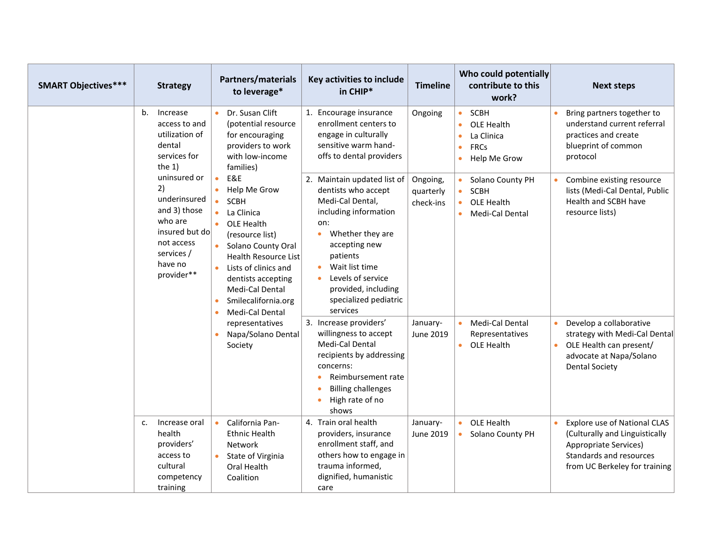| <b>SMART Objectives***</b> |                | <b>Strategy</b>                                                                                                                                                                                             |                                                                                                                                     | <b>Partners/materials</b><br>to leverage*                                                                                                                                                                                                                                                                          | Key activities to include<br>in CHIP*                                                                                                                                                                                                                                                                                 | <b>Timeline</b>                               |                                                               | Who could potentially<br>contribute to this<br>work?                                                                         |                                                                                                                                         | <b>Next steps</b>                                                                                                                                                                                                              |
|----------------------------|----------------|-------------------------------------------------------------------------------------------------------------------------------------------------------------------------------------------------------------|-------------------------------------------------------------------------------------------------------------------------------------|--------------------------------------------------------------------------------------------------------------------------------------------------------------------------------------------------------------------------------------------------------------------------------------------------------------------|-----------------------------------------------------------------------------------------------------------------------------------------------------------------------------------------------------------------------------------------------------------------------------------------------------------------------|-----------------------------------------------|---------------------------------------------------------------|------------------------------------------------------------------------------------------------------------------------------|-----------------------------------------------------------------------------------------------------------------------------------------|--------------------------------------------------------------------------------------------------------------------------------------------------------------------------------------------------------------------------------|
|                            | b.             | Increase<br>access to and<br>utilization of<br>dental<br>services for<br>the $1)$<br>uninsured or<br>2)<br>underinsured<br>and 3) those<br>who are<br>insured but do<br>not access<br>services /<br>have no | $\bullet$                                                                                                                           | Dr. Susan Clift<br>(potential resource<br>for encouraging<br>providers to work<br>with low-income<br>families)<br>E&E<br>Help Me Grow<br><b>SCBH</b><br>La Clinica<br>OLE Health<br>(resource list)<br>Solano County Oral<br>Health Resource List<br>Lists of clinics and                                          | 1. Encourage insurance<br>enrollment centers to<br>engage in culturally<br>sensitive warm hand-<br>offs to dental providers<br>2. Maintain updated list of<br>dentists who accept<br>Medi-Cal Dental,<br>including information<br>on:<br>Whether they are<br>$\bullet$<br>accepting new<br>patients<br>Wait list time | Ongoing<br>Ongoing,<br>quarterly<br>check-ins | $\bullet$<br>$\bullet$<br>$\bullet$<br>$\bullet$<br>$\bullet$ | SCBH<br>OLE Health<br>La Clinica<br><b>FRCs</b><br>Help Me Grow<br>Solano County PH<br>SCBH<br>OLE Health<br>Medi-Cal Dental |                                                                                                                                         | Bring partners together to<br>understand current referral<br>practices and create<br>blueprint of common<br>protocol<br>Combine existing resource<br>lists (Medi-Cal Dental, Public<br>Health and SCBH have<br>resource lists) |
|                            | provider**     |                                                                                                                                                                                                             | dentists accepting<br>Medi-Cal Dental<br>Smilecalifornia.org<br>Medi-Cal Dental<br>representatives<br>Napa/Solano Dental<br>Society | Levels of service<br>provided, including<br>specialized pediatric<br>services<br>3. Increase providers'<br>willingness to accept<br>Medi-Cal Dental<br>recipients by addressing<br>concerns:<br>Reimbursement rate<br>$\bullet$<br><b>Billing challenges</b><br>$\bullet$<br>High rate of no<br>$\bullet$<br>shows | January-<br>June 2019                                                                                                                                                                                                                                                                                                 |                                               | Medi-Cal Dental<br>Representatives<br>• OLE Health            | $\bullet$<br>$\bullet$                                                                                                       | Develop a collaborative<br>strategy with Medi-Cal Dental<br>OLE Health can present/<br>advocate at Napa/Solano<br><b>Dental Society</b> |                                                                                                                                                                                                                                |
|                            | $\mathsf{C}$ . | Increase oral<br>health<br>providers'<br>access to<br>cultural<br>competency<br>training                                                                                                                    |                                                                                                                                     | California Pan-<br><b>Ethnic Health</b><br><b>Network</b><br>State of Virginia<br>Oral Health<br>Coalition                                                                                                                                                                                                         | 4. Train oral health<br>providers, insurance<br>enrollment staff, and<br>others how to engage in<br>trauma informed,<br>dignified, humanistic<br>care                                                                                                                                                                 | January-<br>June 2019                         | $\bullet$<br>$\bullet$                                        | OLE Health<br>Solano County PH                                                                                               | $\bullet$                                                                                                                               | <b>Explore use of National CLAS</b><br>(Culturally and Linguistically<br>Appropriate Services)<br>Standards and resources<br>from UC Berkeley for training                                                                     |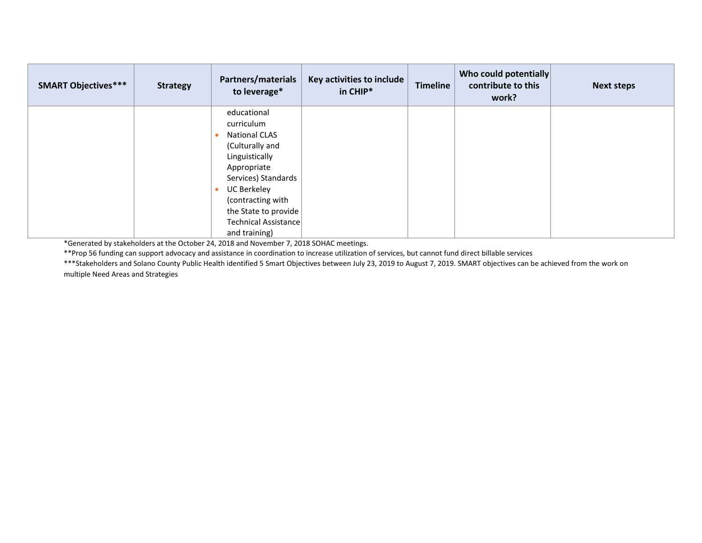| <b>SMART Objectives***</b> | <b>Strategy</b> | Partners/materials<br>to leverage* | Key activities to include<br>in CHIP* | <b>Timeline</b> | Who could potentially<br>contribute to this<br>work? | <b>Next steps</b> |
|----------------------------|-----------------|------------------------------------|---------------------------------------|-----------------|------------------------------------------------------|-------------------|
|                            |                 | educational                        |                                       |                 |                                                      |                   |
|                            |                 | curriculum                         |                                       |                 |                                                      |                   |
|                            |                 | <b>National CLAS</b>               |                                       |                 |                                                      |                   |
|                            |                 | (Culturally and                    |                                       |                 |                                                      |                   |
|                            |                 | Linguistically                     |                                       |                 |                                                      |                   |
|                            |                 | Appropriate                        |                                       |                 |                                                      |                   |
|                            |                 | Services) Standards                |                                       |                 |                                                      |                   |
|                            |                 | UC Berkeley                        |                                       |                 |                                                      |                   |
|                            |                 | (contracting with                  |                                       |                 |                                                      |                   |
|                            |                 | the State to provide $ $           |                                       |                 |                                                      |                   |
|                            |                 | Technical Assistance               |                                       |                 |                                                      |                   |
|                            |                 | and training)                      |                                       |                 |                                                      |                   |

\*Generated by stakeholders at the October 24, 2018 and November 7, 2018 SOHAC meetings.

\*\*Prop 56 funding can support advocacy and assistance in coordination to increase utilization of services, but cannot fund direct billable services

\*\*\*Stakeholders and Solano County Public Health identified 5 Smart Objectives between July 23, 2019 to August 7, 2019. SMART objectives can be achieved from the work on multiple Need Areas and Strategies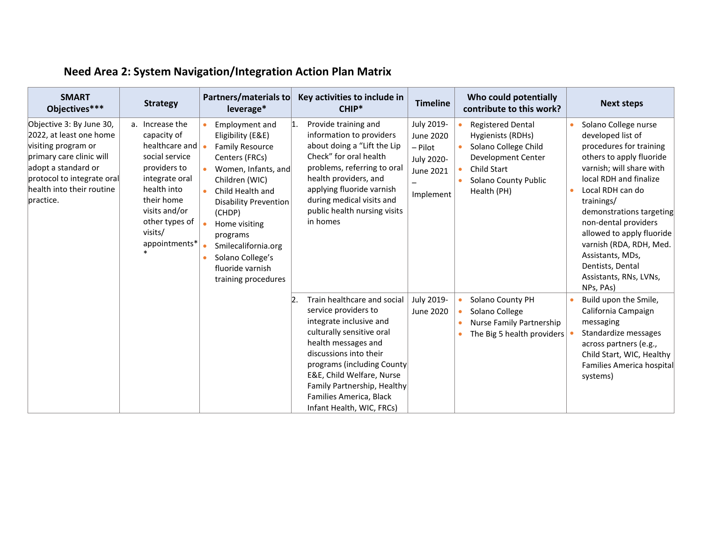| <b>SMART</b><br>Objectives***                                                                                                                                                                         | <b>Strategy</b>                                                                                                                                                                                  | Partners/materials to<br>leverage*                                                                                                                                                                                                                                                                                               | Key activities to include in<br>CHIP*                                                                                                                                                                                                                                                                                            | <b>Timeline</b>                                                                          | Who could potentially<br>contribute to this work?                                                                                                        | <b>Next steps</b>                                                                                                                                                                                                                                                                                                                                                                   |
|-------------------------------------------------------------------------------------------------------------------------------------------------------------------------------------------------------|--------------------------------------------------------------------------------------------------------------------------------------------------------------------------------------------------|----------------------------------------------------------------------------------------------------------------------------------------------------------------------------------------------------------------------------------------------------------------------------------------------------------------------------------|----------------------------------------------------------------------------------------------------------------------------------------------------------------------------------------------------------------------------------------------------------------------------------------------------------------------------------|------------------------------------------------------------------------------------------|----------------------------------------------------------------------------------------------------------------------------------------------------------|-------------------------------------------------------------------------------------------------------------------------------------------------------------------------------------------------------------------------------------------------------------------------------------------------------------------------------------------------------------------------------------|
| Objective 3: By June 30,<br>2022, at least one home<br>visiting program or<br>primary care clinic will<br>adopt a standard or<br>protocol to integrate oral<br>health into their routine<br>practice. | a. Increase the<br>capacity of<br>healthcare and<br>social service<br>providers to<br>integrate oral<br>health into<br>their home<br>visits and/or<br>other types of<br>visits/<br>appointments* | Employment and<br>٠<br>Eligibility (E&E)<br><b>Family Resource</b><br>$\bullet$<br>Centers (FRCs)<br>Women, Infants, and<br>Children (WIC)<br>Child Health and<br>٠<br><b>Disability Prevention</b><br>(CHDP)<br>Home visiting<br>programs<br>Smilecalifornia.org<br>Solano College's<br>fluoride varnish<br>training procedures | Provide training and<br> 1.<br>information to providers<br>about doing a "Lift the Lip<br>Check" for oral health<br>problems, referring to oral<br>health providers, and<br>applying fluoride varnish<br>during medical visits and<br>public health nursing visits<br>in homes                                                   | July 2019-<br><b>June 2020</b><br>- Pilot<br>July 2020-<br><b>June 2021</b><br>Implement | <b>Registered Dental</b><br>Hygienists (RDHs)<br>Solano College Child<br>Development Center<br><b>Child Start</b><br>Solano County Public<br>Health (PH) | Solano College nurse<br>developed list of<br>procedures for training<br>others to apply fluoride<br>varnish; will share with<br>local RDH and finalize<br>Local RDH can do<br>trainings/<br>demonstrations targeting<br>non-dental providers<br>allowed to apply fluoride<br>varnish (RDA, RDH, Med.<br>Assistants, MDs,<br>Dentists, Dental<br>Assistants, RNs, LVNs,<br>NPs, PAs) |
|                                                                                                                                                                                                       |                                                                                                                                                                                                  |                                                                                                                                                                                                                                                                                                                                  | Train healthcare and social<br>$\overline{2}$<br>service providers to<br>integrate inclusive and<br>culturally sensitive oral<br>health messages and<br>discussions into their<br>programs (including County<br>E&E, Child Welfare, Nurse<br>Family Partnership, Healthy<br>Families America, Black<br>Infant Health, WIC, FRCs) | July 2019-<br><b>June 2020</b>                                                           | Solano County PH<br>Solano College<br>Nurse Family Partnership<br>The Big 5 health providers                                                             | Build upon the Smile,<br>California Campaign<br>messaging<br>Standardize messages<br>across partners (e.g.,<br>Child Start, WIC, Healthy<br>Families America hospital<br>systems)                                                                                                                                                                                                   |

## **Need Area 2: System Navigation/Integration Action Plan Matrix**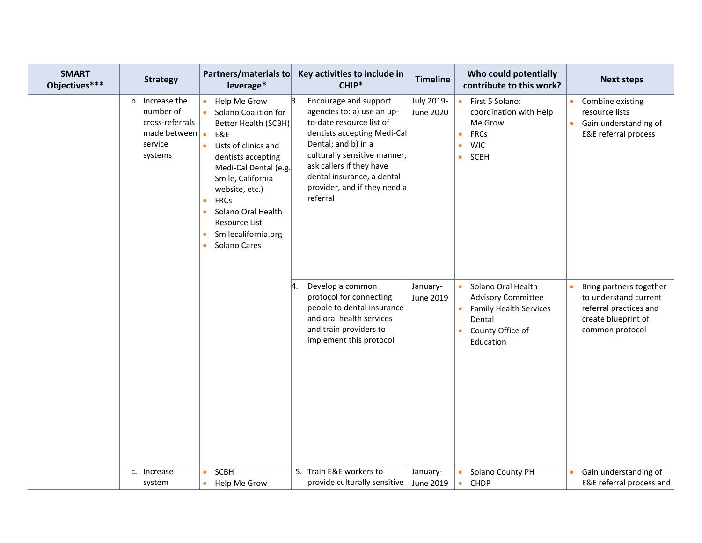| <b>SMART</b><br>Objectives*** | <b>Strategy</b>                                                                       | Partners/materials to<br>leverage*                                                                                                                                                                                                                                                                                                                           | Key activities to include in<br>CHIP*                                                                                                                                                                                                                                             | <b>Timeline</b>                | Who could potentially<br>contribute to this work?                                                                           | <b>Next steps</b>                                                                                                    |
|-------------------------------|---------------------------------------------------------------------------------------|--------------------------------------------------------------------------------------------------------------------------------------------------------------------------------------------------------------------------------------------------------------------------------------------------------------------------------------------------------------|-----------------------------------------------------------------------------------------------------------------------------------------------------------------------------------------------------------------------------------------------------------------------------------|--------------------------------|-----------------------------------------------------------------------------------------------------------------------------|----------------------------------------------------------------------------------------------------------------------|
|                               | b. Increase the<br>number of<br>cross-referrals<br>made between<br>service<br>systems | Help Me Grow<br>$\bullet$<br>Solano Coalition for<br>Better Health (SCBH)<br>E&E<br>$\bullet$<br>Lists of clinics and<br>$\bullet$<br>dentists accepting<br>Medi-Cal Dental (e.g.<br>Smile, California<br>website, etc.)<br><b>FRCs</b><br>$\bullet$<br>Solano Oral Health<br>Resource List<br>Smilecalifornia.org<br>$\bullet$<br>Solano Cares<br>$\bullet$ | 3.<br>Encourage and support<br>agencies to: a) use an up-<br>to-date resource list of<br>dentists accepting Medi-Cal<br>Dental; and b) in a<br>culturally sensitive manner,<br>ask callers if they have<br>dental insurance, a dental<br>provider, and if they need a<br>referral | July 2019-<br><b>June 2020</b> | First 5 Solano:<br>coordination with Help<br>Me Grow<br><b>FRCs</b><br><b>WIC</b><br>SCBH<br>$\bullet$                      | Combine existing<br>resource lists<br>Gain understanding of<br>E&E referral process                                  |
|                               |                                                                                       |                                                                                                                                                                                                                                                                                                                                                              | 14<br>Develop a common<br>protocol for connecting<br>people to dental insurance<br>and oral health services<br>and train providers to<br>implement this protocol                                                                                                                  | January-<br><b>June 2019</b>   | Solano Oral Health<br><b>Advisory Committee</b><br><b>Family Health Services</b><br>Dental<br>County Office of<br>Education | Bring partners together<br>to understand current<br>referral practices and<br>create blueprint of<br>common protocol |
|                               | c. Increase<br>system                                                                 | SCBH<br>$\bullet$<br>Help Me Grow<br>$\bullet$                                                                                                                                                                                                                                                                                                               | 5. Train E&E workers to<br>provide culturally sensitive                                                                                                                                                                                                                           | January-<br>June 2019          | Solano County PH<br><b>CHDP</b><br>$\bullet$                                                                                | Gain understanding of<br>E&E referral process and                                                                    |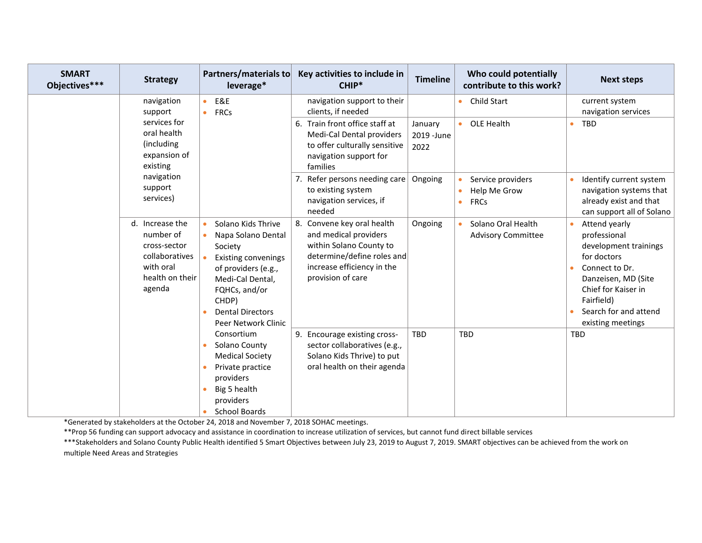| <b>SMART</b><br>Objectives*** | <b>Strategy</b>                                                                                             | <b>Partners/materials to</b><br>leverage*                                                                                                                                                                                          | Key activities to include in<br>CHIP*                                                                                                                           | <b>Timeline</b>                | Who could potentially<br>contribute to this work? | <b>Next steps</b>                                                                                                                                                                                                           |
|-------------------------------|-------------------------------------------------------------------------------------------------------------|------------------------------------------------------------------------------------------------------------------------------------------------------------------------------------------------------------------------------------|-----------------------------------------------------------------------------------------------------------------------------------------------------------------|--------------------------------|---------------------------------------------------|-----------------------------------------------------------------------------------------------------------------------------------------------------------------------------------------------------------------------------|
|                               | navigation<br>support                                                                                       | E&E<br>$\bullet$<br><b>FRCs</b><br>$\bullet$                                                                                                                                                                                       | navigation support to their<br>clients, if needed                                                                                                               |                                | Child Start                                       | current system<br>navigation services                                                                                                                                                                                       |
|                               | services for<br>oral health<br>(including<br>expansion of<br>existing<br>navigation<br>support<br>services) |                                                                                                                                                                                                                                    | 6. Train front office staff at<br>Medi-Cal Dental providers<br>to offer culturally sensitive<br>navigation support for<br>families                              | January<br>2019 - June<br>2022 | OLE Health<br>$\bullet$                           | <b>TBD</b><br>$\bullet$                                                                                                                                                                                                     |
|                               |                                                                                                             |                                                                                                                                                                                                                                    | 7. Refer persons needing care<br>to existing system<br>navigation services, if<br>needed                                                                        | Ongoing                        | Service providers<br>Help Me Grow<br><b>FRCs</b>  | Identify current system<br>$\bullet$<br>navigation systems that<br>already exist and that<br>can support all of Solano                                                                                                      |
|                               | d. Increase the<br>number of<br>cross-sector<br>collaboratives<br>with oral<br>health on their<br>agenda    | Solano Kids Thrive<br>$\bullet$<br>Napa Solano Dental<br>Society<br><b>Existing convenings</b><br>$\bullet$<br>of providers (e.g.,<br>Medi-Cal Dental,<br>FQHCs, and/or<br>CHDP)<br><b>Dental Directors</b><br>Peer Network Clinic | 8. Convene key oral health<br>and medical providers<br>within Solano County to<br>determine/define roles and<br>increase efficiency in the<br>provision of care | Ongoing                        | Solano Oral Health<br><b>Advisory Committee</b>   | Attend yearly<br>professional<br>development trainings<br>for doctors<br>Connect to Dr.<br>$\bullet$<br>Danzeisen, MD (Site<br>Chief for Kaiser in<br>Fairfield)<br>Search for and attend<br>$\bullet$<br>existing meetings |
|                               |                                                                                                             | Consortium<br>Solano County<br><b>Medical Society</b><br>Private practice<br>providers<br>Big 5 health<br>providers<br><b>School Boards</b>                                                                                        | 9. Encourage existing cross-<br>sector collaboratives (e.g.,<br>Solano Kids Thrive) to put<br>oral health on their agenda                                       | <b>TBD</b>                     | <b>TBD</b>                                        | <b>TBD</b>                                                                                                                                                                                                                  |

\*Generated by stakeholders at the October 24, 2018 and November 7, 2018 SOHAC meetings.

\*\*Prop 56 funding can support advocacy and assistance in coordination to increase utilization of services, but cannot fund direct billable services

\*\*\*Stakeholders and Solano County Public Health identified 5 Smart Objectives between July 23, 2019 to August 7, 2019. SMART objectives can be achieved from the work on multiple Need Areas and Strategies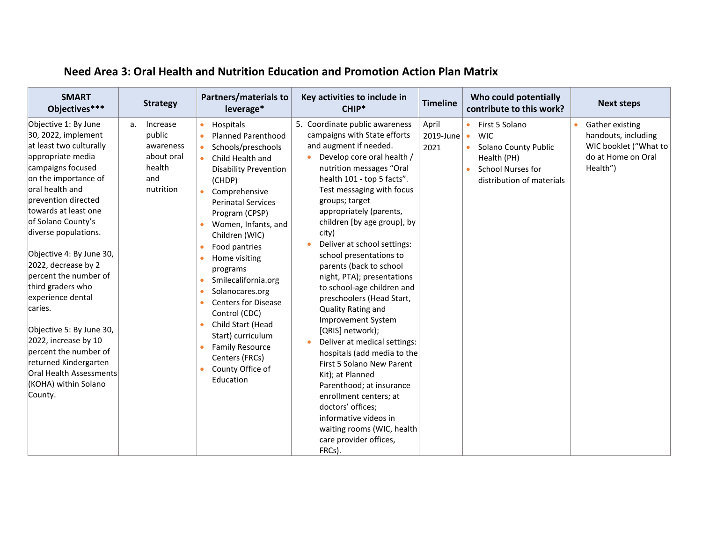| <b>SMART</b><br>Objectives***                                                                                                                                                                                                                                                                                                                                                                                                                                                                                                                                       | <b>Strategy</b>                                                                   | <b>Partners/materials to</b><br>leverage*                                                                                                                                                                                                                                                                                                                                                                                                                                                                                                                                                                                                                     | Key activities to include in<br>CHIP*                                                                                                                                                                                                                                                                                                                                                                                                                                                                                                                                                                                                                                                                                                                                                                                                         | <b>Timeline</b>            | Who could potentially<br>contribute to this work?                                                                            | <b>Next steps</b>                                                                                 |
|---------------------------------------------------------------------------------------------------------------------------------------------------------------------------------------------------------------------------------------------------------------------------------------------------------------------------------------------------------------------------------------------------------------------------------------------------------------------------------------------------------------------------------------------------------------------|-----------------------------------------------------------------------------------|---------------------------------------------------------------------------------------------------------------------------------------------------------------------------------------------------------------------------------------------------------------------------------------------------------------------------------------------------------------------------------------------------------------------------------------------------------------------------------------------------------------------------------------------------------------------------------------------------------------------------------------------------------------|-----------------------------------------------------------------------------------------------------------------------------------------------------------------------------------------------------------------------------------------------------------------------------------------------------------------------------------------------------------------------------------------------------------------------------------------------------------------------------------------------------------------------------------------------------------------------------------------------------------------------------------------------------------------------------------------------------------------------------------------------------------------------------------------------------------------------------------------------|----------------------------|------------------------------------------------------------------------------------------------------------------------------|---------------------------------------------------------------------------------------------------|
| Objective 1: By June<br>30, 2022, implement<br>at least two culturally<br>appropriate media<br>campaigns focused<br>on the importance of<br>oral health and<br>prevention directed<br>towards at least one<br>of Solano County's<br>diverse populations.<br>Objective 4: By June 30,<br>$2022$ , decrease by 2<br>percent the number of<br>third graders who<br>experience dental<br>caries.<br>Objective 5: By June 30,<br>$2022$ , increase by 10<br>percent the number of<br>returned Kindergarten<br>Oral Health Assessments<br>(KOHA) within Solano<br>County. | Increase<br>a.<br>public<br>awareness<br>about oral<br>health<br>and<br>nutrition | Hospitals<br>$\bullet$<br><b>Planned Parenthood</b><br>$\bullet$<br>Schools/preschools<br>$\bullet$<br>Child Health and<br>$\bullet$<br><b>Disability Prevention</b><br>(CHDP)<br>Comprehensive<br>$\bullet$<br><b>Perinatal Services</b><br>Program (CPSP)<br>Women, Infants, and<br>Children (WIC)<br>Food pantries<br>$\bullet$<br>Home visiting<br>$\bullet$<br>programs<br>Smilecalifornia.org<br>Solanocares.org<br>$\bullet$<br><b>Centers for Disease</b><br>$\bullet$<br>Control (CDC)<br>Child Start (Head<br>$\bullet$<br>Start) curriculum<br><b>Family Resource</b><br>$\bullet$<br>Centers (FRCs)<br>County Office of<br>$\bullet$<br>Education | 5. Coordinate public awareness<br>campaigns with State efforts<br>and augment if needed.<br>Develop core oral health /<br>nutrition messages "Oral<br>health 101 - top 5 facts".<br>Test messaging with focus<br>groups; target<br>appropriately (parents,<br>children [by age group], by<br>city)<br>Deliver at school settings:<br>school presentations to<br>parents (back to school<br>night, PTA); presentations<br>to school-age children and<br>preschoolers (Head Start,<br>Quality Rating and<br><b>Improvement System</b><br>[QRIS] network);<br>Deliver at medical settings:<br>hospitals (add media to the<br>First 5 Solano New Parent<br>Kit); at Planned<br>Parenthood; at insurance<br>enrollment centers; at<br>doctors' offices;<br>informative videos in<br>waiting rooms (WIC, health<br>care provider offices,<br>FRCs). | April<br>2019-June<br>2021 | First 5 Solano<br><b>WIC</b><br>Solano County Public<br>Health (PH)<br><b>School Nurses for</b><br>distribution of materials | Gather existing<br>handouts, including<br>WIC booklet ("What to<br>do at Home on Oral<br>Health") |

## **Need Area 3: Oral Health and Nutrition Education and Promotion Action Plan Matrix**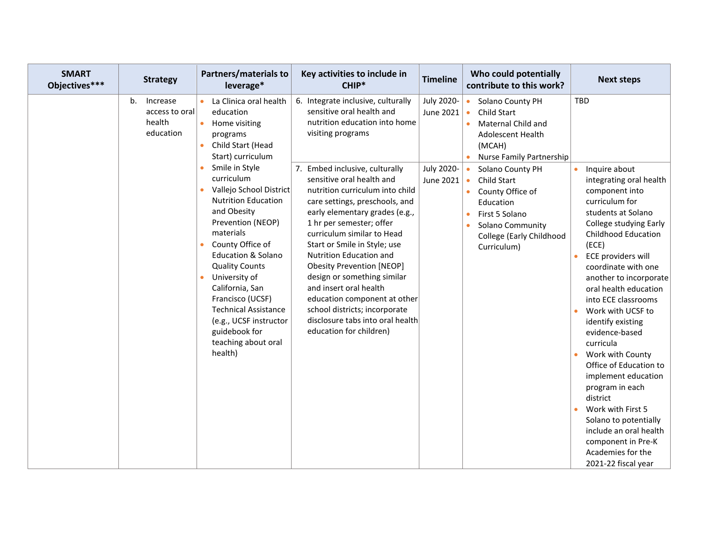| <b>SMART</b><br>Objectives*** | <b>Strategy</b>                                         | <b>Partners/materials to</b><br>leverage*                                                                                                                                                                                                                                                                                                                                                                                                                                                                                              | Key activities to include in<br>CHIP*                                                                                                                                                                                                                                                                                                                                                                                                                                                                                                                                                                                                                | <b>Timeline</b>                                    | Who could potentially<br>contribute to this work?                                                                                                                                                                                                                                                                                | <b>Next steps</b>                                                                                                                                                                                                                                                                                                                                                                                                                                                                                                |
|-------------------------------|---------------------------------------------------------|----------------------------------------------------------------------------------------------------------------------------------------------------------------------------------------------------------------------------------------------------------------------------------------------------------------------------------------------------------------------------------------------------------------------------------------------------------------------------------------------------------------------------------------|------------------------------------------------------------------------------------------------------------------------------------------------------------------------------------------------------------------------------------------------------------------------------------------------------------------------------------------------------------------------------------------------------------------------------------------------------------------------------------------------------------------------------------------------------------------------------------------------------------------------------------------------------|----------------------------------------------------|----------------------------------------------------------------------------------------------------------------------------------------------------------------------------------------------------------------------------------------------------------------------------------------------------------------------------------|------------------------------------------------------------------------------------------------------------------------------------------------------------------------------------------------------------------------------------------------------------------------------------------------------------------------------------------------------------------------------------------------------------------------------------------------------------------------------------------------------------------|
|                               | b.<br>Increase<br>access to oral<br>health<br>education | La Clinica oral health<br>education<br>$\bullet$<br>Home visiting<br>programs<br>Child Start (Head<br>$\bullet$<br>Start) curriculum<br>Smile in Style<br>curriculum<br>Vallejo School District<br><b>Nutrition Education</b><br>and Obesity<br>Prevention (NEOP)<br>materials<br>County Office of<br><b>Education &amp; Solano</b><br><b>Quality Counts</b><br>University of<br>$\bullet$<br>California, San<br>Francisco (UCSF)<br>Technical Assistance<br>(e.g., UCSF instructor<br>guidebook for<br>teaching about oral<br>health) | 6. Integrate inclusive, culturally<br>sensitive oral health and<br>nutrition education into home<br>visiting programs<br>7. Embed inclusive, culturally<br>sensitive oral health and<br>nutrition curriculum into child<br>care settings, preschools, and<br>early elementary grades (e.g.,<br>1 hr per semester; offer<br>curriculum similar to Head<br>Start or Smile in Style; use<br><b>Nutrition Education and</b><br><b>Obesity Prevention [NEOP]</b><br>design or something similar<br>and insert oral health<br>education component at other<br>school districts; incorporate<br>disclosure tabs into oral health<br>education for children) | July 2020-<br>June 2021<br>July 2020-<br>June 2021 | Solano County PH<br>$\bullet$<br>Child Start<br>$\bullet$<br>Maternal Child and<br><b>Adolescent Health</b><br>(MCAH)<br>Nurse Family Partnership<br>Solano County PH<br>Child Start<br>$\bullet$<br>County Office of<br>$\bullet$<br>Education<br>First 5 Solano<br>Solano Community<br>College (Early Childhood<br>Curriculum) | TBD<br>Inquire about<br>$\bullet$<br>integrating oral health<br>component into<br>curriculum for<br>students at Solano<br>College studying Early<br><b>Childhood Education</b><br>(ECE)<br>ECE providers will<br>coordinate with one<br>another to incorporate<br>oral health education<br>into ECE classrooms<br>Work with UCSF to<br>identify existing<br>evidence-based<br>curricula<br>Work with County<br>Office of Education to<br>implement education<br>program in each<br>district<br>Work with First 5 |
|                               |                                                         |                                                                                                                                                                                                                                                                                                                                                                                                                                                                                                                                        |                                                                                                                                                                                                                                                                                                                                                                                                                                                                                                                                                                                                                                                      |                                                    |                                                                                                                                                                                                                                                                                                                                  | Solano to potentially<br>include an oral health<br>component in Pre-K<br>Academies for the<br>2021-22 fiscal year                                                                                                                                                                                                                                                                                                                                                                                                |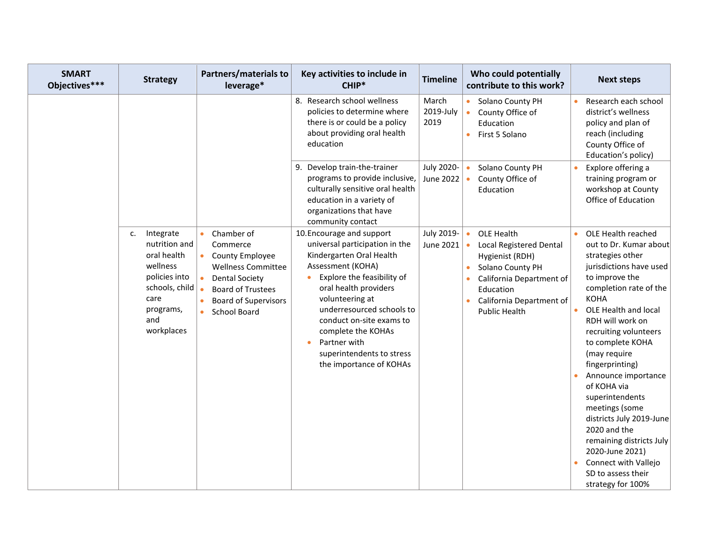| <b>SMART</b><br>Objectives*** | <b>Strategy</b>                                                                                                                          | <b>Partners/materials to</b><br>leverage*                                                                                                                                                                                             | Key activities to include in<br>CHIP*                                                                                                                                                                                                                                                                                                                      | <b>Timeline</b>            | Who could potentially<br>contribute to this work?                                                                                                                                                          | <b>Next steps</b>                                                                                                                                                                                                                                                                                                                                                                                                                                                                                                           |
|-------------------------------|------------------------------------------------------------------------------------------------------------------------------------------|---------------------------------------------------------------------------------------------------------------------------------------------------------------------------------------------------------------------------------------|------------------------------------------------------------------------------------------------------------------------------------------------------------------------------------------------------------------------------------------------------------------------------------------------------------------------------------------------------------|----------------------------|------------------------------------------------------------------------------------------------------------------------------------------------------------------------------------------------------------|-----------------------------------------------------------------------------------------------------------------------------------------------------------------------------------------------------------------------------------------------------------------------------------------------------------------------------------------------------------------------------------------------------------------------------------------------------------------------------------------------------------------------------|
|                               |                                                                                                                                          |                                                                                                                                                                                                                                       | 8. Research school wellness<br>policies to determine where<br>there is or could be a policy<br>about providing oral health<br>education                                                                                                                                                                                                                    | March<br>2019-July<br>2019 | Solano County PH<br>County Office of<br>Education<br>First 5 Solano<br>$\bullet$                                                                                                                           | Research each school<br>district's wellness<br>policy and plan of<br>reach (including<br>County Office of<br>Education's policy)                                                                                                                                                                                                                                                                                                                                                                                            |
|                               |                                                                                                                                          |                                                                                                                                                                                                                                       | Develop train-the-trainer<br>9.<br>programs to provide inclusive,<br>culturally sensitive oral health<br>education in a variety of<br>organizations that have<br>community contact                                                                                                                                                                         | July 2020-<br>June 2022    | Solano County PH<br>County Office of<br>Education                                                                                                                                                          | Explore offering a<br>training program or<br>workshop at County<br>Office of Education                                                                                                                                                                                                                                                                                                                                                                                                                                      |
|                               | Integrate<br>c.<br>nutrition and<br>oral health<br>wellness<br>policies into<br>schools, child<br>care<br>programs,<br>and<br>workplaces | Chamber of<br>$\bullet$<br>Commerce<br>$\bullet$<br><b>County Employee</b><br><b>Wellness Committee</b><br>$\bullet$<br><b>Dental Society</b><br><b>Board of Trustees</b><br><b>Board of Supervisors</b><br>School Board<br>$\bullet$ | 10. Encourage and support<br>universal participation in the<br>Kindergarten Oral Health<br>Assessment (KOHA)<br>Explore the feasibility of<br>oral health providers<br>volunteering at<br>underresourced schools to<br>conduct on-site exams to<br>complete the KOHAs<br>Partner with<br>$\bullet$<br>superintendents to stress<br>the importance of KOHAs | July 2019-<br>June 2021    | OLE Health<br>$\bullet$<br><b>Local Registered Dental</b><br>Hygienist (RDH)<br>Solano County PH<br>California Department of<br>Education<br>California Department of<br>$\bullet$<br><b>Public Health</b> | OLE Health reached<br>out to Dr. Kumar about<br>strategies other<br>jurisdictions have used<br>to improve the<br>completion rate of the<br><b>KOHA</b><br>OLE Health and local<br>RDH will work on<br>recruiting volunteers<br>to complete KOHA<br>(may require<br>fingerprinting)<br>Announce importance<br>of KOHA via<br>superintendents<br>meetings (some<br>districts July 2019-June<br>2020 and the<br>remaining districts July<br>2020-June 2021)<br>Connect with Vallejo<br>SD to assess their<br>strategy for 100% |